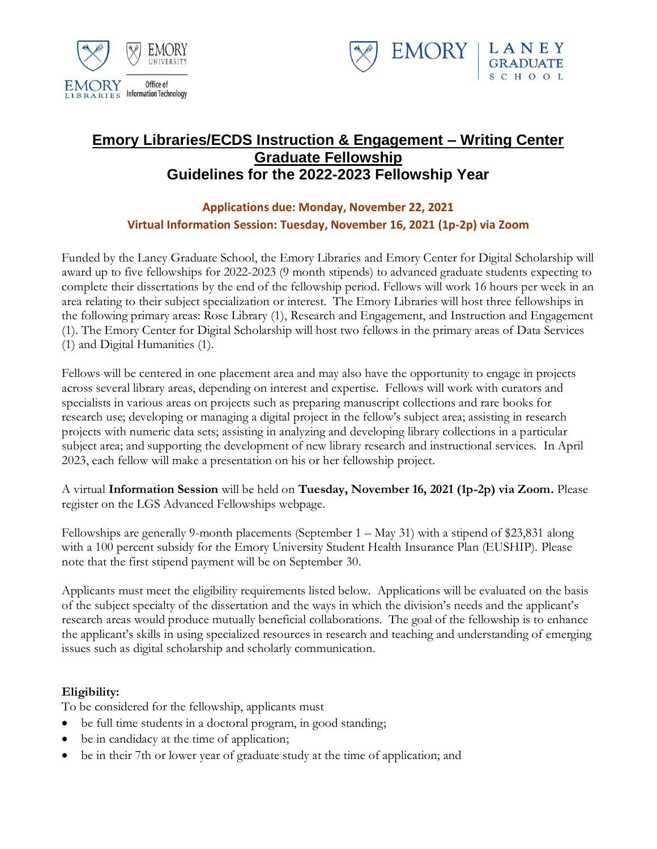



# **Emory Libraries/ECDS Instruction & Engagement – Writing Center Graduate Fellowship Guidelines for the 2022-2023 Fellowship Year**

## **Applications due: Monday, November 22, 2021 Virtual Information Session: Tuesday, November 16, 2021 (1p-2p) via Zoom**

Funded by the Laney Graduate School, the Emory Libraries and Emory Center for Digital Scholarship will award up to five fellowships for 2022-2023 (9 month stipends) to advanced graduate students expecting to complete their dissertations by the end of the fellowship period. Fellows will work 16 hours per week in an area relating to their subject specialization or interest. The Emory Libraries will host three fellowships in the following primary areas: Rose Library (1), Research and Engagement, and Instruction and Engagement (1). The Emory Center for Digital Scholarship will host two fellows in the primary areas of Data Services (1) and Digital Humanities (1).

Fellows will be centered in one placement area and may also have the opportunity to engage in projects across several library areas, depending on interest and expertise. Fellows will work with curators and specialists in various areas on projects such as preparing manuscript collections and rare books for research use; developing or managing a digital project in the fellow's subject area; assisting in research projects with numeric data sets; assisting in analyzing and developing library collections in a particular subject area; and supporting the development of new library research and instructional services. In April 2023, each fellow will make a presentation on his or her fellowship project.

A virtual **Information Session** will be held on **Tuesday, November 16, 2021 (1p-2p) via Zoom.** Please register on the LGS Advanced Fellowships webpage.

Fellowships are generally 9-month placements (September 1 – May 31) with a stipend of \$23,831 along with a 100 percent subsidy for the Emory University Student Health Insurance Plan (EUSHIP). Please note that the first stipend payment will be on September 30.

Applicants must meet the eligibility requirements listed below. Applications will be evaluated on the basis of the subject specialty of the dissertation and the ways in which the division's needs and the applicant's research areas would produce mutually beneficial collaborations. The goal of the fellowship is to enhance the applicant's skills in using specialized resources in research and teaching and understanding of emerging issues such as digital scholarship and scholarly communication.

## **Eligibility:**

To be considered for the fellowship, applicants must

- be full time students in a doctoral program, in good standing;
- be in candidacy at the time of application;
- be in their 7th or lower year of graduate study at the time of application; and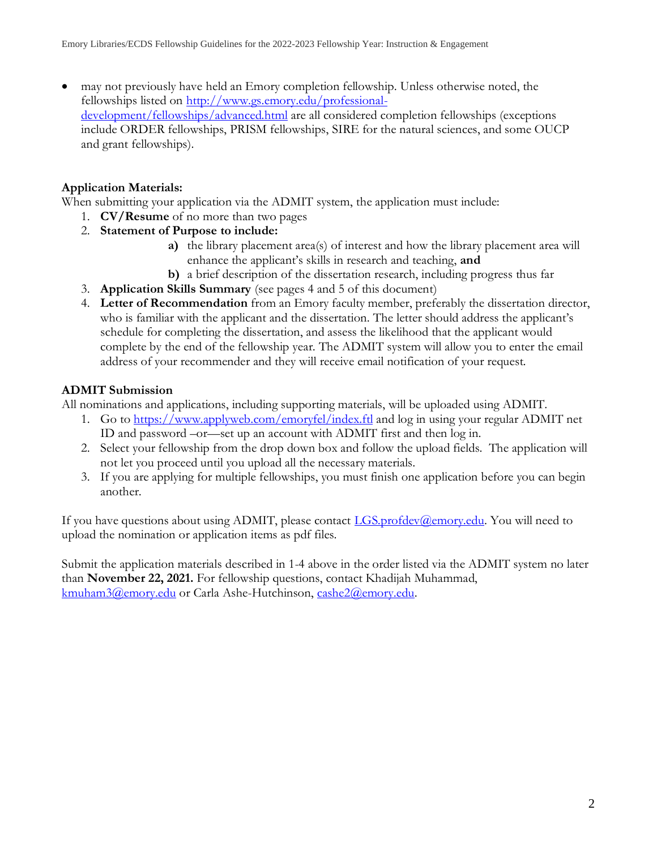• may not previously have held an Emory completion fellowship. Unless otherwise noted, the fellowships listed on [http://www.gs.emory.edu/professional](http://www.gs.emory.edu/professional-development/fellowships/advanced.html)[development/fellowships/advanced.html](http://www.gs.emory.edu/professional-development/fellowships/advanced.html) are all considered completion fellowships (exceptions include ORDER fellowships, PRISM fellowships, SIRE for the natural sciences, and some OUCP and grant fellowships).

## **Application Materials:**

When submitting your application via the ADMIT system, the application must include:

- 1. **CV/Resume** of no more than two pages
- 2. **Statement of Purpose to include:**
	- **a)** the library placement area(s) of interest and how the library placement area will enhance the applicant's skills in research and teaching, **and**
	- **b)** a brief description of the dissertation research, including progress thus far
- 3. **Application Skills Summary** (see pages 4 and 5 of this document)
- 4. **Letter of Recommendation** from an Emory faculty member, preferably the dissertation director, who is familiar with the applicant and the dissertation. The letter should address the applicant's schedule for completing the dissertation, and assess the likelihood that the applicant would complete by the end of the fellowship year. The ADMIT system will allow you to enter the email address of your recommender and they will receive email notification of your request.

## **ADMIT Submission**

All nominations and applications, including supporting materials, will be uploaded using ADMIT.

- 1. Go to <https://www.applyweb.com/emoryfel/index.ftl> and log in using your regular ADMIT net ID and password –or—set up an account with ADMIT first and then log in.
- 2. Select your fellowship from the drop down box and follow the upload fields. The application will not let you proceed until you upload all the necessary materials.
- 3. If you are applying for multiple fellowships, you must finish one application before you can begin another.

If you have questions about using ADMIT, please contact *LGS.profdev@emory.edu*. You will need to upload the nomination or application items as pdf files.

Submit the application materials described in 1-4 above in the order listed via the ADMIT system no later than **November 22, 2021.** For fellowship questions, contact Khadijah Muhammad, [kmuham3@emory.edu](mailto:kmuham3@emory.edu) or Carla Ashe-Hutchinson, [cashe2@emory.edu.](mailto:cashe2@emory.edu)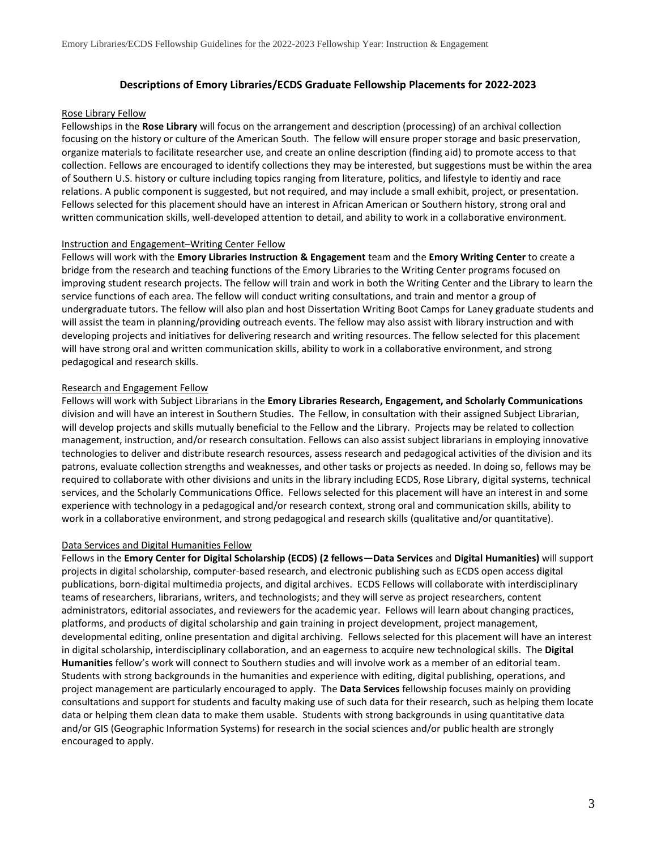### **Descriptions of Emory Libraries/ECDS Graduate Fellowship Placements for 2022-2023**

#### Rose Library Fellow

Fellowships in the **Rose Library** will focus on the arrangement and description (processing) of an archival collection focusing on the history or culture of the American South. The fellow will ensure proper storage and basic preservation, organize materials to facilitate researcher use, and create an online description (finding aid) to promote access to that collection. Fellows are encouraged to identify collections they may be interested, but suggestions must be within the area of Southern U.S. history or culture including topics ranging from literature, politics, and lifestyle to identiy and race relations. A public component is suggested, but not required, and may include a small exhibit, project, or presentation. Fellows selected for this placement should have an interest in African American or Southern history, strong oral and written communication skills, well-developed attention to detail, and ability to work in a collaborative environment.

### Instruction and Engagement–Writing Center Fellow

Fellows will work with the **Emory Libraries Instruction & Engagement** team and the **Emory Writing Center** to create a bridge from the research and teaching functions of the Emory Libraries to the Writing Center programs focused on improving student research projects. The fellow will train and work in both the Writing Center and the Library to learn the service functions of each area. The fellow will conduct writing consultations, and train and mentor a group of undergraduate tutors. The fellow will also plan and host Dissertation Writing Boot Camps for Laney graduate students and will assist the team in planning/providing outreach events. The fellow may also assist with library instruction and with developing projects and initiatives for delivering research and writing resources. The fellow selected for this placement will have strong oral and written communication skills, ability to work in a collaborative environment, and strong pedagogical and research skills.

### Research and Engagement Fellow

Fellows will work with Subject Librarians in the **Emory Libraries Research, Engagement, and Scholarly Communications** division and will have an interest in Southern Studies. The Fellow, in consultation with their assigned Subject Librarian, will develop projects and skills mutually beneficial to the Fellow and the Library. Projects may be related to collection management, instruction, and/or research consultation. Fellows can also assist subject librarians in employing innovative technologies to deliver and distribute research resources, assess research and pedagogical activities of the division and its patrons, evaluate collection strengths and weaknesses, and other tasks or projects as needed. In doing so, fellows may be required to collaborate with other divisions and units in the library including ECDS, Rose Library, digital systems, technical services, and the Scholarly Communications Office. Fellows selected for this placement will have an interest in and some experience with technology in a pedagogical and/or research context, strong oral and communication skills, ability to work in a collaborative environment, and strong pedagogical and research skills (qualitative and/or quantitative).

#### Data Services and Digital Humanities Fellow

Fellows in the **Emory Center for Digital Scholarship (ECDS) (2 fellows—Data Services** and **Digital Humanities)** will support projects in digital scholarship, computer-based research, and electronic publishing such as ECDS open access digital publications, born-digital multimedia projects, and digital archives. ECDS Fellows will collaborate with interdisciplinary teams of researchers, librarians, writers, and technologists; and they will serve as project researchers, content administrators, editorial associates, and reviewers for the academic year. Fellows will learn about changing practices, platforms, and products of digital scholarship and gain training in project development, project management, developmental editing, online presentation and digital archiving. Fellows selected for this placement will have an interest in digital scholarship, interdisciplinary collaboration, and an eagerness to acquire new technological skills. The **Digital Humanities** fellow's work will connect to Southern studies and will involve work as a member of an editorial team. Students with strong backgrounds in the humanities and experience with editing, digital publishing, operations, and project management are particularly encouraged to apply. The **Data Services** fellowship focuses mainly on providing consultations and support for students and faculty making use of such data for their research, such as helping them locate data or helping them clean data to make them usable. Students with strong backgrounds in using quantitative data and/or GIS (Geographic Information Systems) for research in the social sciences and/or public health are strongly encouraged to apply.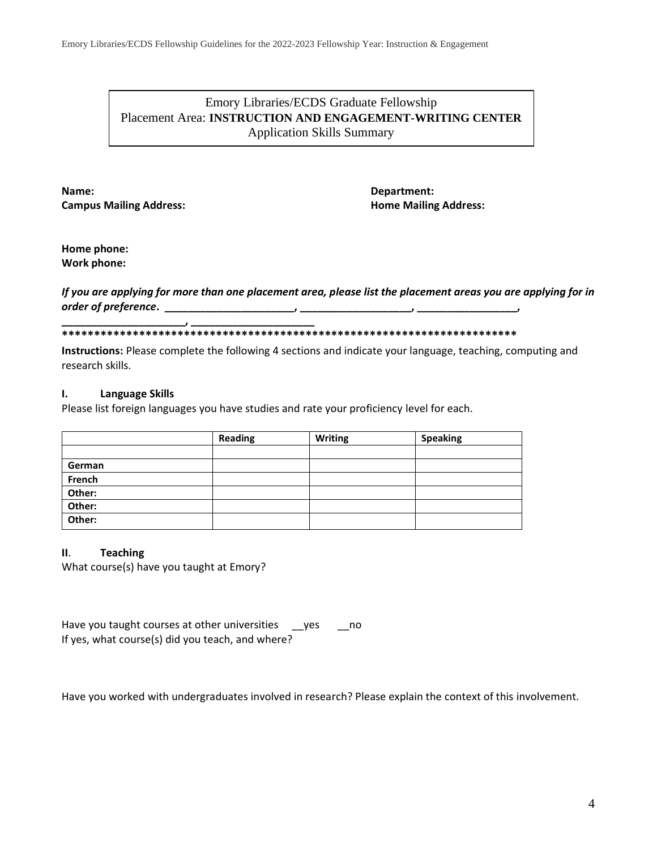## Emory Libraries/ECDS Graduate Fellowship Placement Area: **INSTRUCTION AND ENGAGEMENT-WRITING CENTER** Application Skills Summary

**Name: Department: Campus Mailing Address: Home Mailing Address:**

**Home phone: Work phone:**

### *If you are applying for more than one placement area, please list the placement areas you are applying for in order of preference***. \_\_\_\_\_\_\_\_\_\_\_\_\_\_\_\_\_\_\_\_\_\_, \_\_\_\_\_\_\_\_\_\_\_\_\_\_\_\_\_\_\_, \_\_\_\_\_\_\_\_\_\_\_\_\_\_\_\_\_,**

### **\_\_\_\_\_\_\_\_\_\_\_\_\_\_\_\_\_\_\_\_\_, \_\_\_\_\_\_\_\_\_\_\_\_\_\_\_\_\_\_\_\_\_ \*\*\*\*\*\*\*\*\*\*\*\*\*\*\*\*\*\*\*\*\*\*\*\*\*\*\*\*\*\*\*\*\*\*\*\*\*\*\*\*\*\*\*\*\*\*\*\*\*\*\*\*\*\*\*\*\*\*\*\*\*\*\*\*\*\*\*\*\*\*\***

**Instructions:** Please complete the following 4 sections and indicate your language, teaching, computing and research skills.

### **I. Language Skills**

Please list foreign languages you have studies and rate your proficiency level for each.

|        | <b>Reading</b> | <b>Writing</b> | <b>Speaking</b> |
|--------|----------------|----------------|-----------------|
|        |                |                |                 |
| German |                |                |                 |
| French |                |                |                 |
| Other: |                |                |                 |
| Other: |                |                |                 |
| Other: |                |                |                 |

### **II**. **Teaching**

What course(s) have you taught at Emory?

Have you taught courses at other universities \_\_yes \_\_no If yes, what course(s) did you teach, and where?

Have you worked with undergraduates involved in research? Please explain the context of this involvement.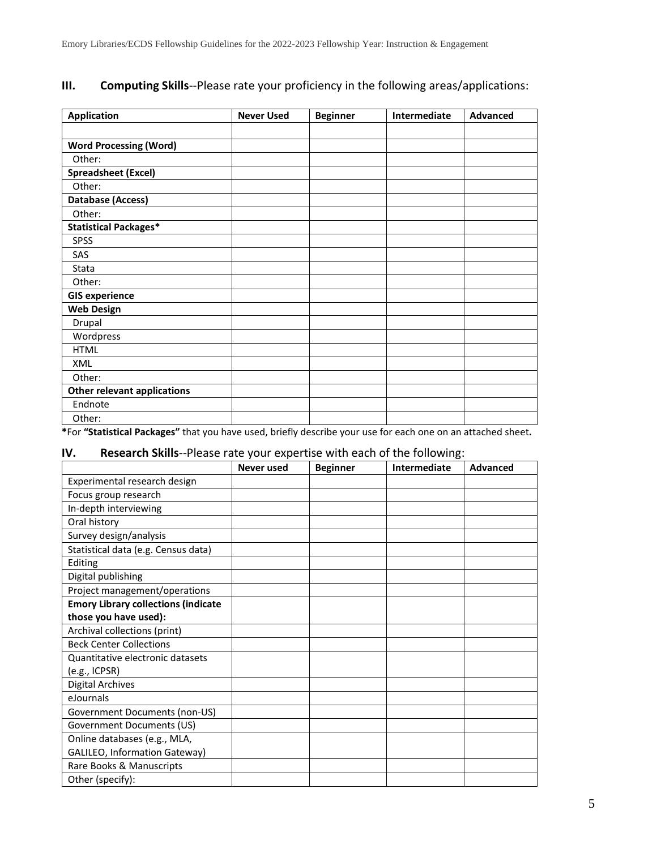# **III. Computing Skills**--Please rate your proficiency in the following areas/applications:

| <b>Application</b>                 | <b>Never Used</b> | <b>Beginner</b> | Intermediate | <b>Advanced</b> |
|------------------------------------|-------------------|-----------------|--------------|-----------------|
|                                    |                   |                 |              |                 |
| <b>Word Processing (Word)</b>      |                   |                 |              |                 |
| Other:                             |                   |                 |              |                 |
| <b>Spreadsheet (Excel)</b>         |                   |                 |              |                 |
| Other:                             |                   |                 |              |                 |
| Database (Access)                  |                   |                 |              |                 |
| Other:                             |                   |                 |              |                 |
| <b>Statistical Packages*</b>       |                   |                 |              |                 |
| <b>SPSS</b>                        |                   |                 |              |                 |
| SAS                                |                   |                 |              |                 |
| Stata                              |                   |                 |              |                 |
| Other:                             |                   |                 |              |                 |
| <b>GIS experience</b>              |                   |                 |              |                 |
| <b>Web Design</b>                  |                   |                 |              |                 |
| Drupal                             |                   |                 |              |                 |
| Wordpress                          |                   |                 |              |                 |
| <b>HTML</b>                        |                   |                 |              |                 |
| <b>XML</b>                         |                   |                 |              |                 |
| Other:                             |                   |                 |              |                 |
| <b>Other relevant applications</b> |                   |                 |              |                 |
| Endnote                            |                   |                 |              |                 |
| Other:                             |                   |                 |              |                 |

**\***For **"Statistical Packages"** that you have used, briefly describe your use for each one on an attached sheet**.**

## **IV. Research Skills**--Please rate your expertise with each of the following:

|                                                   | <b>Never used</b> | <b>Beginner</b> | Intermediate | <b>Advanced</b> |
|---------------------------------------------------|-------------------|-----------------|--------------|-----------------|
| Experimental research design                      |                   |                 |              |                 |
| Focus group research                              |                   |                 |              |                 |
| In-depth interviewing                             |                   |                 |              |                 |
| Oral history                                      |                   |                 |              |                 |
| Survey design/analysis                            |                   |                 |              |                 |
| Statistical data (e.g. Census data)               |                   |                 |              |                 |
| Editing                                           |                   |                 |              |                 |
| Digital publishing                                |                   |                 |              |                 |
| Project management/operations                     |                   |                 |              |                 |
| <b>Emory Library collections (indicate</b>        |                   |                 |              |                 |
| those you have used):                             |                   |                 |              |                 |
| Archival collections (print)                      |                   |                 |              |                 |
| <b>Beck Center Collections</b>                    |                   |                 |              |                 |
| Quantitative electronic datasets<br>(e.g., ICPSR) |                   |                 |              |                 |
| <b>Digital Archives</b>                           |                   |                 |              |                 |
| eJournals                                         |                   |                 |              |                 |
| Government Documents (non-US)                     |                   |                 |              |                 |
| Government Documents (US)                         |                   |                 |              |                 |
| Online databases (e.g., MLA,                      |                   |                 |              |                 |
| GALILEO, Information Gateway)                     |                   |                 |              |                 |
| Rare Books & Manuscripts                          |                   |                 |              |                 |
| Other (specify):                                  |                   |                 |              |                 |